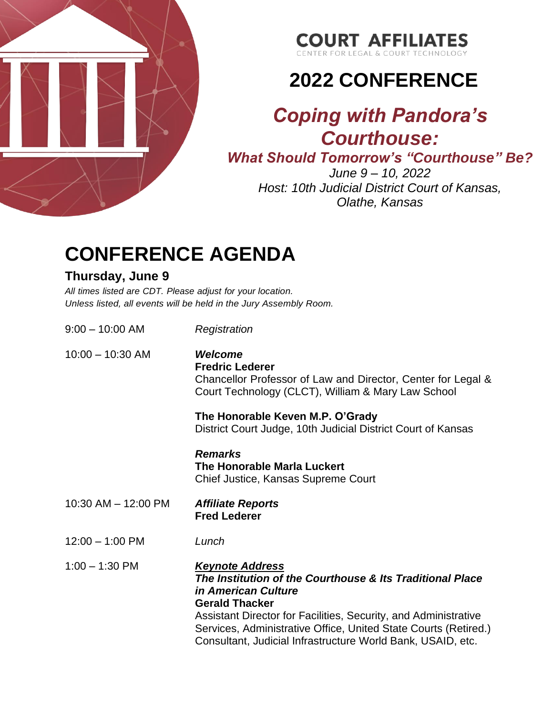

### **COURT AFFILIATES**

CENTER FOR LEGAL & COURT TECH

# **2022 CONFERENCE**

### *Coping with Pandora's Courthouse:*

*What Should Tomorrow's "Courthouse" Be?*

*June 9 – 10, 2022 Host: 10th Judicial District Court of Kansas, Olathe, Kansas*

## **CONFERENCE AGENDA**

#### **Thursday, June 9**

*All times listed are CDT. Please adjust for your location. Unless listed, all events will be held in the Jury Assembly Room.*

| $9:00 - 10:00$ AM         | Registration                                                                                                                                                                                                                                                                                                                                    |
|---------------------------|-------------------------------------------------------------------------------------------------------------------------------------------------------------------------------------------------------------------------------------------------------------------------------------------------------------------------------------------------|
| $10:00 - 10:30$ AM        | <b>Welcome</b><br><b>Fredric Lederer</b><br>Chancellor Professor of Law and Director, Center for Legal &<br>Court Technology (CLCT), William & Mary Law School                                                                                                                                                                                  |
|                           | The Honorable Keven M.P. O'Grady<br>District Court Judge, 10th Judicial District Court of Kansas                                                                                                                                                                                                                                                |
|                           | <b>Remarks</b><br>The Honorable Marla Luckert<br>Chief Justice, Kansas Supreme Court                                                                                                                                                                                                                                                            |
| $10:30$ AM $- 12:00$ PM   | <b>Affiliate Reports</b><br><b>Fred Lederer</b>                                                                                                                                                                                                                                                                                                 |
| $12:00 - 1:00 \text{ PM}$ | Lunch                                                                                                                                                                                                                                                                                                                                           |
| $1:00 - 1:30$ PM          | <b>Keynote Address</b><br>The Institution of the Courthouse & Its Traditional Place<br><i>in American Culture</i><br><b>Gerald Thacker</b><br>Assistant Director for Facilities, Security, and Administrative<br>Services, Administrative Office, United State Courts (Retired.)<br>Consultant, Judicial Infrastructure World Bank, USAID, etc. |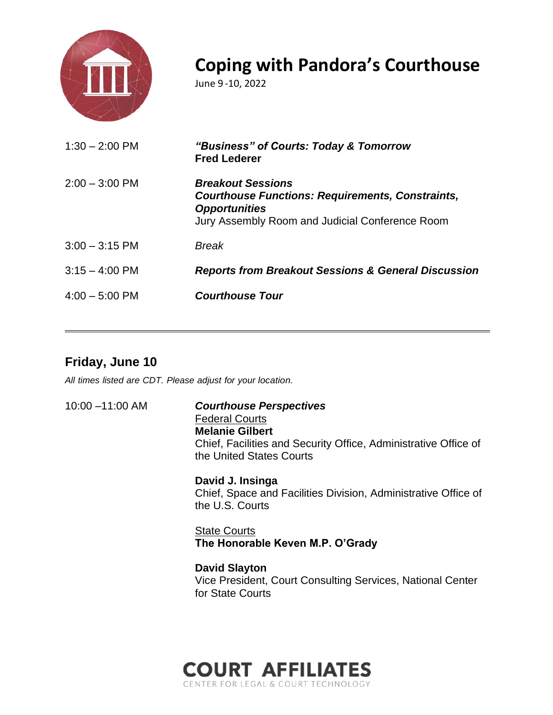

### **Coping with Pandora's Courthouse**

June 9 -10, 2022

| $2:00 - 3:00$ PM<br><b>Breakout Sessions</b>                                                                                       |  |
|------------------------------------------------------------------------------------------------------------------------------------|--|
| <b>Courthouse Functions: Requirements, Constraints,</b><br><b>Opportunities</b><br>Jury Assembly Room and Judicial Conference Room |  |
| $3:00 - 3:15$ PM<br>Break                                                                                                          |  |
| $3:15 - 4:00$ PM<br><b>Reports from Breakout Sessions &amp; General Discussion</b>                                                 |  |
| $4:00 - 5:00$ PM<br><b>Courthouse Tour</b>                                                                                         |  |

### **Friday, June 10**

*All times listed are CDT. Please adjust for your location.*

10:00 –11:00 AM *Courthouse Perspectives* Federal Courts **Melanie Gilbert**  Chief, Facilities and Security Office, Administrative Office of the United States Courts

> **David J. Insinga** Chief, Space and Facilities Division, Administrative Office of the U.S. Courts

State Courts **The Honorable Keven M.P. O'Grady**

**David Slayton** Vice President, Court Consulting Services, National Center for State Courts

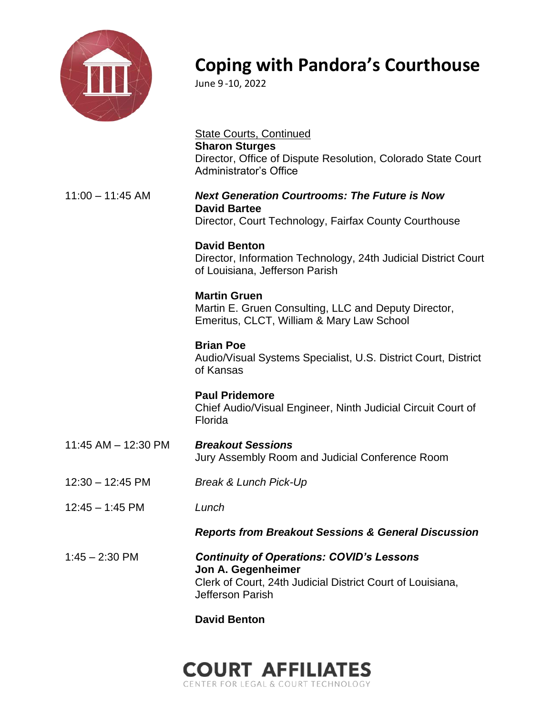

### **Coping with Pandora's Courthouse**

June 9 -10, 2022

State Courts, Continued **Sharon Sturges** Director, Office of Dispute Resolution, Colorado State Court Administrator's Office 11:00 – 11:45 AM *Next Generation Courtrooms: The Future is Now* **David Bartee** Director, Court Technology, Fairfax County Courthouse **David Benton**  Director, Information Technology, 24th Judicial District Court of Louisiana, Jefferson Parish **Martin Gruen** Martin E. Gruen Consulting, LLC and Deputy Director, Emeritus, CLCT, William & Mary Law School **Brian Poe** Audio/Visual Systems Specialist, U.S. District Court, District of Kansas **Paul Pridemore**  Chief Audio/Visual Engineer, Ninth Judicial Circuit Court of Florida 11:45 AM – 12:30 PM *Breakout Sessions* Jury Assembly Room and Judicial Conference Room 12:30 – 12:45 PM *Break & Lunch Pick-Up* 12:45 – 1:45 PM *Lunch Reports from Breakout Sessions & General Discussion* 1:45 – 2:30 PM *Continuity of Operations: COVID's Lessons*  **Jon A. Gegenheimer**  Clerk of Court, 24th Judicial District Court of Louisiana, Jefferson Parish

#### **David Benton**